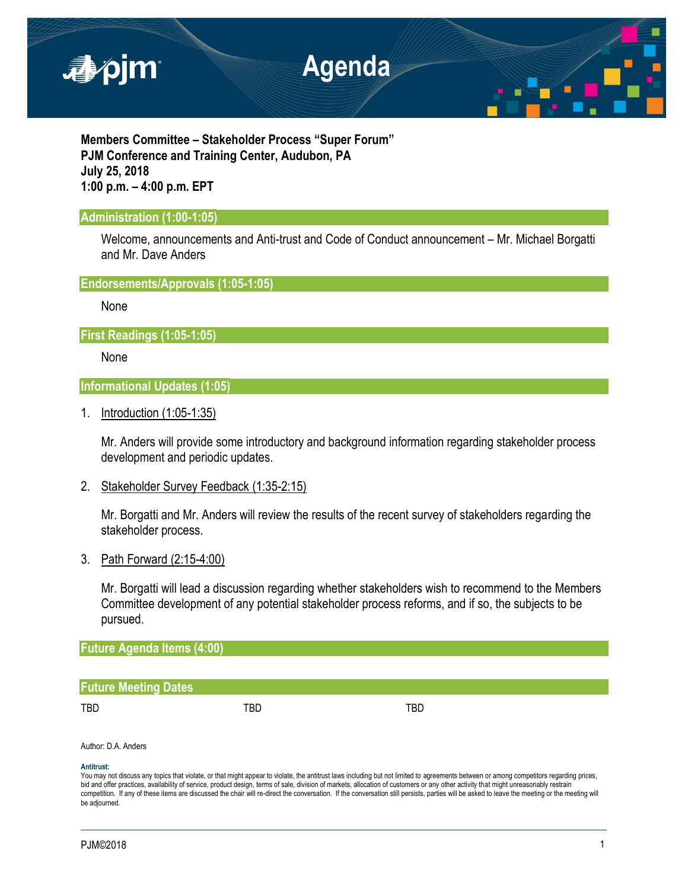

**Members Committee – Stakeholder Process "Super Forum" PJM Conference and Training Center, Audubon, PA July 25, 2018 1:00 p.m. – 4:00 p.m. EPT**

# **Administration (1:00-1:05)**

Welcome, announcements and Anti-trust and Code of Conduct announcement – Mr. Michael Borgatti and Mr. Dave Anders

**Endorsements/Approvals (1:05-1:05)**

None

**First Readings (1:05-1:05)**

None

**Informational Updates (1:05)**

1. Introduction (1:05-1:35)

Mr. Anders will provide some introductory and background information regarding stakeholder process development and periodic updates.

2. Stakeholder Survey Feedback (1:35-2:15)

Mr. Borgatti and Mr. Anders will review the results of the recent survey of stakeholders regarding the stakeholder process.

3. Path Forward (2:15-4:00)

Mr. Borgatti will lead a discussion regarding whether stakeholders wish to recommend to the Members Committee development of any potential stakeholder process reforms, and if so, the subjects to be pursued.

**Future Agenda Items (4:00)**

# **Future Meeting Dates**

TBD TBD TBD

Author: D.A. Anders

## **Antitrust:**

You may not discuss any topics that violate, or that might appear to violate, the antitrust laws including but not limited to agreements between or among competitors regarding prices, bid and offer practices, availability of service, product design, terms of sale, division of markets, allocation of customers or any other activity that might unreasonably restrain competition. If any of these items are discussed the chair will re-direct the conversation. If the conversation still persists, parties will be asked to leave the meeting or the meeting will be adjourned.